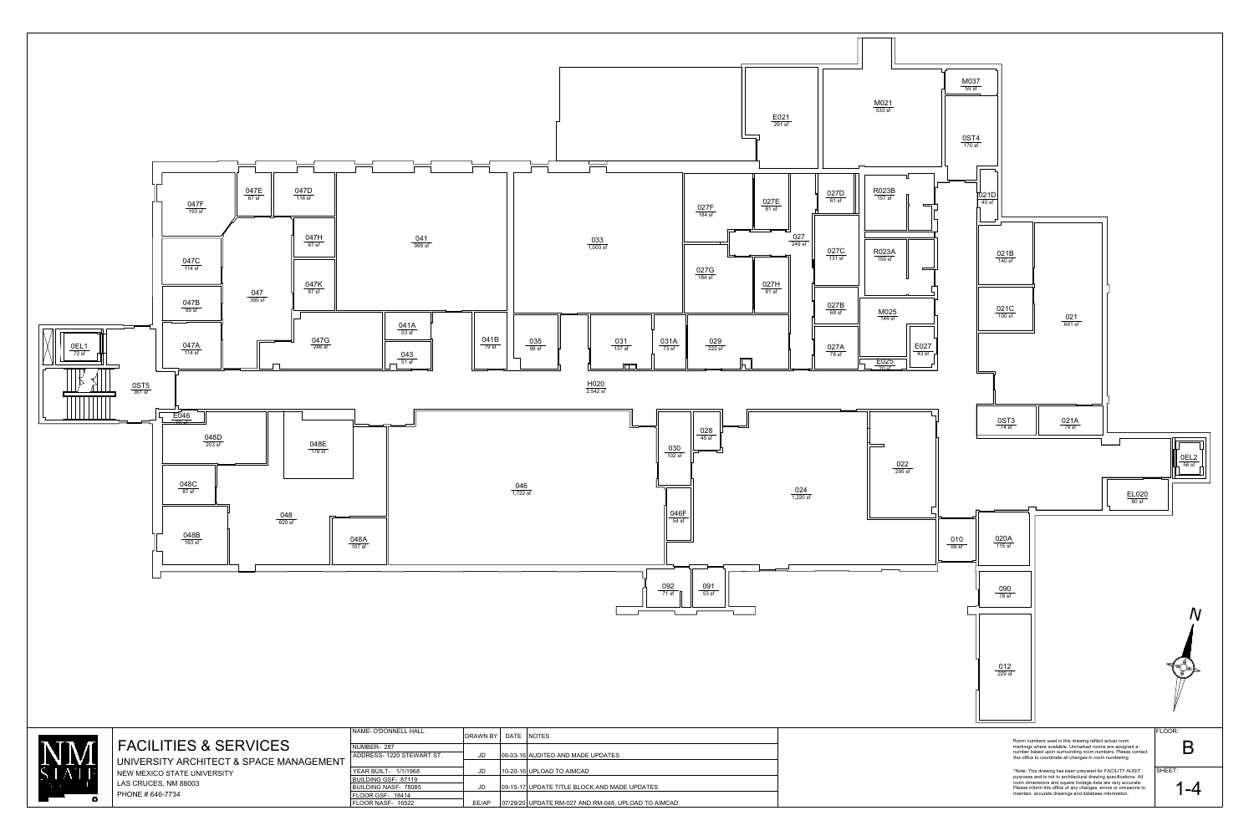$\overline{B}$  PHONE # 646-7734 LAS CRUCES, NM 88003



NIVERSITY

room dimensions and square footage data are very accurate. Please inform this office of any changes, errors or omissions to such that is a set of the set of the set of th maintain accurate drawings and database information.

BUILDING NASF-78085 BUILDING GSF-87119 FLOOR NASF-FLOOR GSF-18414

| <b>ELL HALL</b>  | <b>DRAWN BY</b> | DATE | <b>NOTES</b>                                        |  |
|------------------|-----------------|------|-----------------------------------------------------|--|
| 0 STEWART ST.    | JD              |      | 06-03-16 AUDITED AND MADE UPDATES                   |  |
| 1/1/1968         | JD              |      | 10-20-16 UPLOAD TO AIMCAD                           |  |
| 87119<br>- 78085 | JD              |      | 09-15-17 UPDATE TITLE BLOCK AND MADE UPDATES        |  |
| 8414<br>16522    | EE/AP           |      | 07/29/20 UPDATE RM-027 AND RM-048, UPLOAD TO AIMCAD |  |

1-4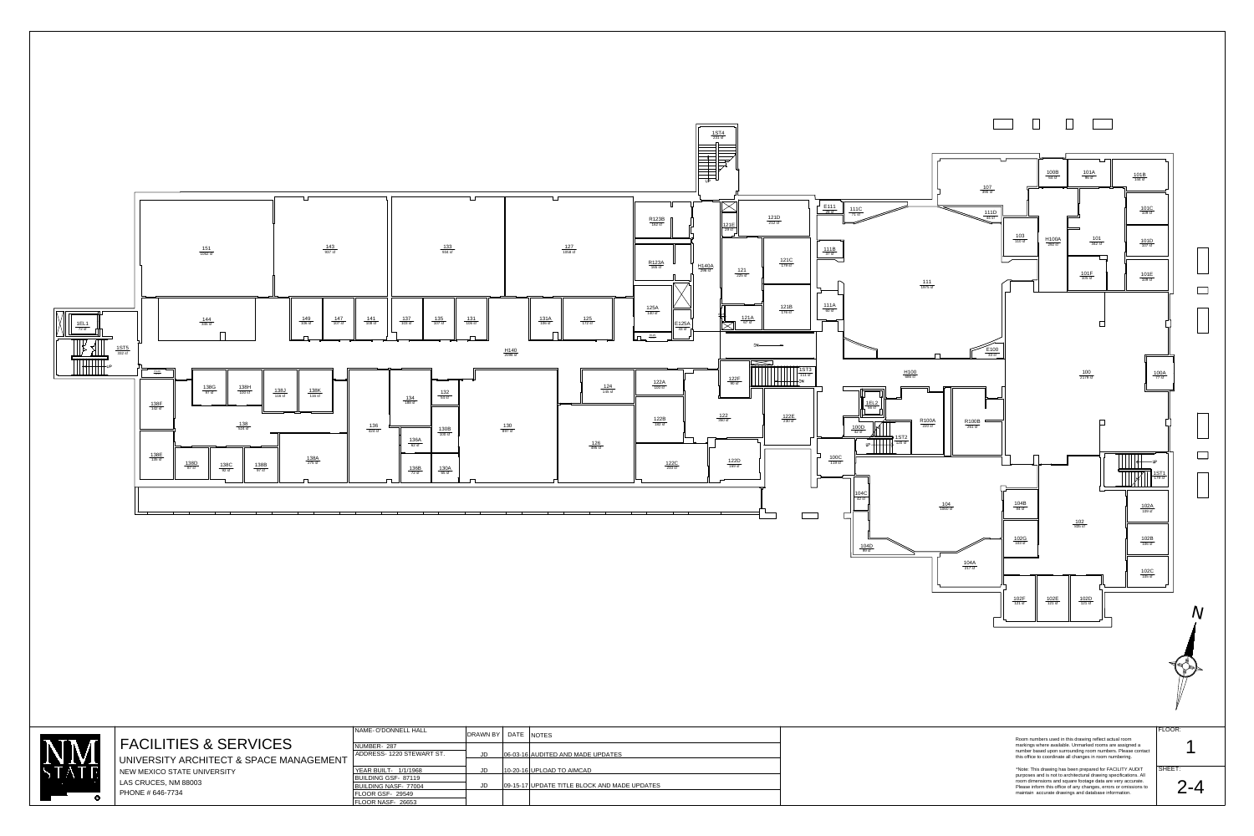



FLOOR NASF- 26653

|     | DRAWN BY  | I DATE | <b>NOTES</b>                                 |  |
|-----|-----------|--------|----------------------------------------------|--|
| ST. | JD        |        | 06-03-16 AUDITED AND MADE UPDATES            |  |
|     | JD        |        | 10-20-16 UPLOAD TO AIMCAD                    |  |
|     | <b>JD</b> |        | 09-15-17 UPDATE TITLE BLOCK AND MADE UPDATES |  |
|     |           |        |                                              |  |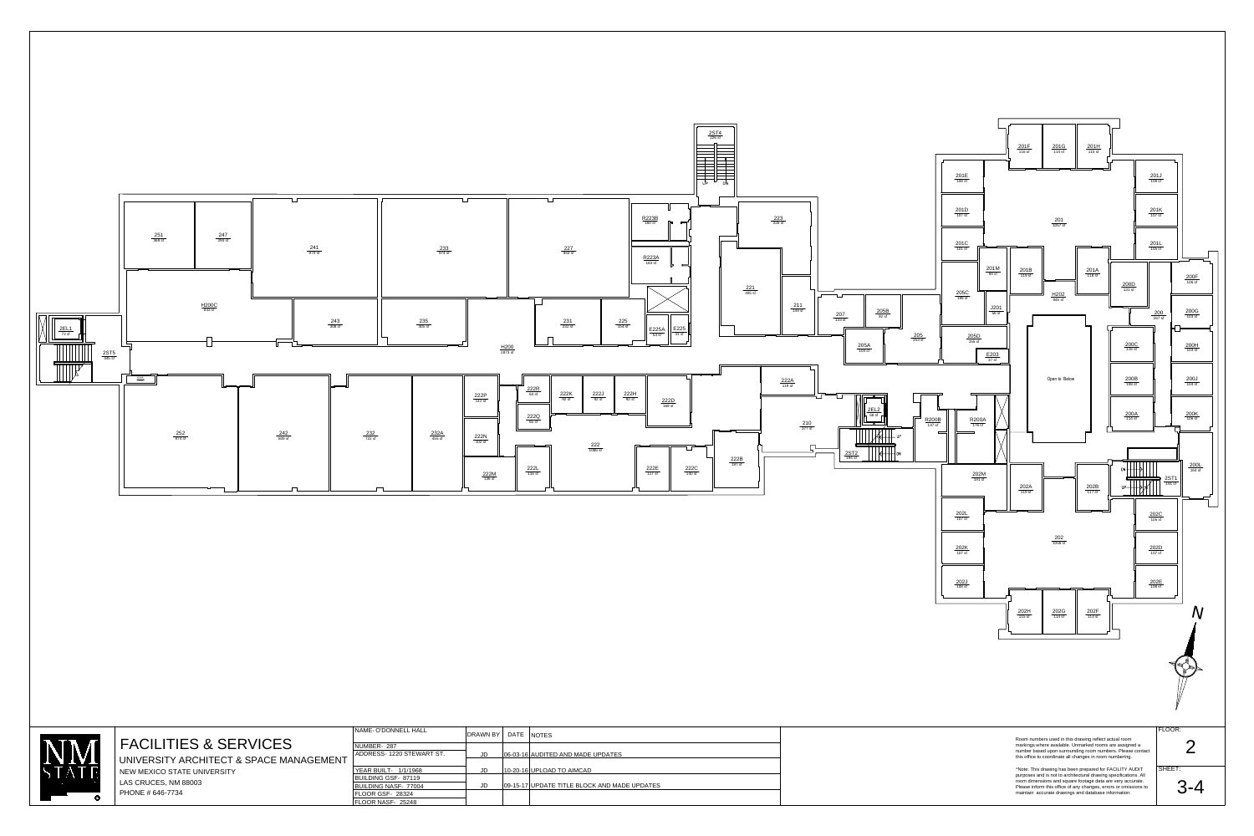

|     | DRAWN BY | DATE | <b>NOTES</b>                                 |
|-----|----------|------|----------------------------------------------|
| ST. | JD       |      | 06-03-16 AUDITED AND MADE UPDATES            |
|     | JD       |      | 10-20-16 UPLOAD TO AIMCAD                    |
|     | JD       |      | 09-15-17 UPDATE TITLE BLOCK AND MADE UPDATES |
|     |          |      |                                              |